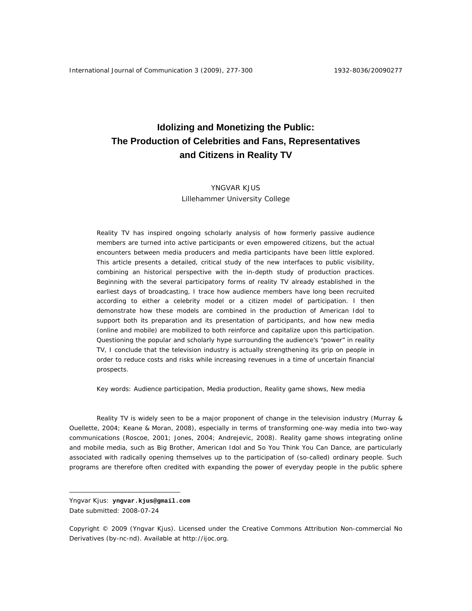# **Idolizing and Monetizing the Public: The Production of Celebrities and Fans, Representatives and Citizens in Reality TV**

# YNGVAR KJUS

Lillehammer University College

Reality TV has inspired ongoing scholarly analysis of how formerly passive audience members are turned into active participants or even empowered citizens, but the actual encounters between media producers and media participants have been little explored. This article presents a detailed, critical study of the new interfaces to public visibility, combining an historical perspective with the in-depth study of production practices. Beginning with the several participatory forms of reality TV already established in the earliest days of broadcasting, I trace how audience members have long been recruited according to either a celebrity model or a citizen model of participation. I then demonstrate how these models are combined in the production of *American Idol* to support both its preparation and its presentation of participants, and how new media (online and mobile) are mobilized to both reinforce and capitalize upon this participation. Questioning the popular and scholarly hype surrounding the audience's "power" in reality TV, I conclude that the television industry is actually strengthening its grip on people in order to reduce costs and risks while increasing revenues in a time of uncertain financial prospects.

Key words: Audience participation, Media production, Reality game shows, New media

Reality TV is widely seen to be a major proponent of change in the television industry (Murray & Ouellette, 2004; Keane & Moran, 2008), especially in terms of transforming one-way media into two-way communications (Roscoe, 2001; Jones, 2004; Andrejevic, 2008). Reality game shows integrating online and mobile media, such as *Big Brother*, *American Idol* and *So You Think You Can Dance*, are particularly associated with radically opening themselves up to the participation of (so-called) ordinary people. Such programs are therefore often credited with expanding the power of everyday people in the public sphere

 $\overline{a}$ 

Yngvar Kjus: **yngvar.kjus@gmail.com**

Date submitted: 2008-07-24

Copyright © 2009 (Yngvar Kjus). Licensed under the Creative Commons Attribution Non-commercial No Derivatives (by-nc-nd). Available at http://ijoc.org.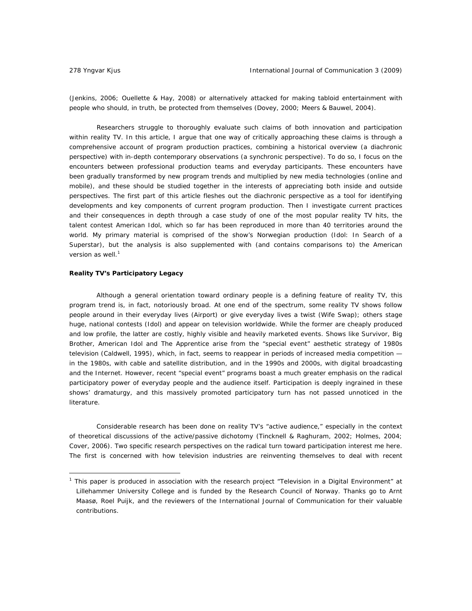(Jenkins, 2006; Ouellette & Hay, 2008) or alternatively attacked for making tabloid entertainment with people who should, in truth, be protected from themselves (Dovey, 2000; Meers & Bauwel, 2004).

Researchers struggle to thoroughly evaluate such claims of both innovation and participation within reality TV. In this article, I argue that one way of critically approaching these claims is through a comprehensive account of program production practices, combining a historical overview (a diachronic perspective) with in-depth contemporary observations (a synchronic perspective). To do so, I focus on the encounters between professional production teams and everyday participants. These encounters have been gradually transformed by new program trends and multiplied by new media technologies (online and mobile), and these should be studied together in the interests of appreciating both inside and outside perspectives. The first part of this article fleshes out the diachronic perspective as a tool for identifying developments and key components of current program production. Then I investigate current practices and their consequences in depth through a case study of one of the most popular reality TV hits, the talent contest *American Idol*, which so far has been reproduced in more than 40 territories around the world. My primary material is comprised of the show's Norwegian production (*Idol: In Search of a Superstar*), but the analysis is also supplemented with (and contains comparisons to) the American version as well.<sup>1</sup>

# *Reality TV's Participatory Legacy*

 $\overline{a}$ 

Although a general orientation toward ordinary people is a defining feature of reality TV, this program trend is, in fact, notoriously broad. At one end of the spectrum, some reality TV shows follow people around in their everyday lives (*Airport*) or give everyday lives a twist (*Wife Swap*); others stage huge, national contests (*Idol*) and appear on television worldwide. While the former are cheaply produced and low profile, the latter are costly, highly visible and heavily marketed events. Shows like *Survivor*, *Big Brother*, *American Idol* and *The Apprentice* arise from the "special event" aesthetic strategy of 1980s television (Caldwell, 1995), which, in fact, seems to reappear in periods of increased media competition in the 1980s, with cable and satellite distribution, and in the 1990s and 2000s, with digital broadcasting and the Internet. However, recent "special event" programs boast a much greater emphasis on the radical participatory power of everyday people and the audience itself. Participation is deeply ingrained in these shows' dramaturgy, and this massively promoted participatory turn has not passed unnoticed in the literature.

Considerable research has been done on reality TV's "active audience," especially in the context of theoretical discussions of the active/passive dichotomy (Tincknell & Raghuram, 2002; Holmes, 2004; Cover, 2006). Two specific research perspectives on the radical turn toward participation interest me here. The first is concerned with how television industries are reinventing themselves to deal with recent

<sup>1</sup> This paper is produced in association with the research project "Television in a Digital Environment" at Lillehammer University College and is funded by the Research Council of Norway. Thanks go to Arnt Maasø, Roel Puijk, and the reviewers of the *International Journal of Communication* for their valuable contributions.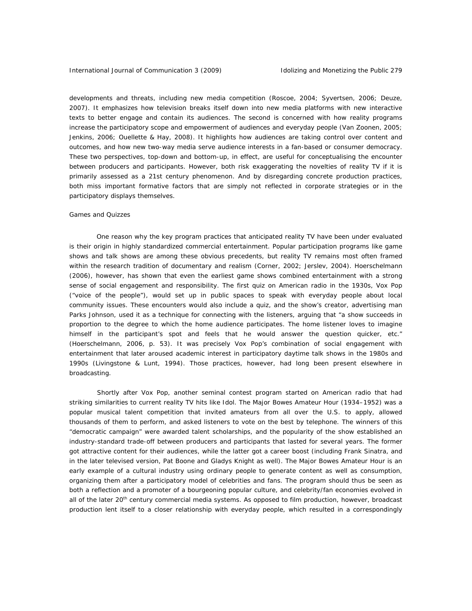developments and threats, including new media competition (Roscoe, 2004; Syvertsen, 2006; Deuze, 2007). It emphasizes how television breaks itself down into new media platforms with new interactive texts to better engage and contain its audiences. The second is concerned with how reality programs increase the participatory scope and empowerment of audiences and everyday people (Van Zoonen, 2005; Jenkins, 2006; Ouellette & Hay, 2008). It highlights how audiences are taking control over content and outcomes, and how new two-way media serve audience interests in a fan-based or consumer democracy. These two perspectives, top-down and bottom-up, in effect, are useful for conceptualising the encounter between producers and participants. However, both risk exaggerating the novelties of reality TV if it is primarily assessed as a 21st century phenomenon. And by disregarding concrete production practices, both miss important formative factors that are simply not reflected in corporate strategies or in the participatory displays themselves.

#### *Games and Quizzes*

One reason why the key program practices that anticipated reality TV have been under evaluated is their origin in highly standardized commercial entertainment. Popular participation programs like game shows and talk shows are among these obvious precedents, but reality TV remains most often framed within the research tradition of documentary and realism (Corner, 2002; Jerslev, 2004). Hoerschelmann (2006), however, has shown that even the earliest game shows combined entertainment with a strong sense of social engagement and responsibility. The first quiz on American radio in the 1930s, *Vox Pop* ("voice of the people"), would set up in public spaces to speak with everyday people about local community issues. These encounters would also include a quiz, and the show's creator, advertising man Parks Johnson, used it as a technique for connecting with the listeners, arguing that "a show succeeds in proportion to the degree to which the home audience participates. The home listener loves to imagine himself in the participant's spot and feels that he would answer the question quicker, etc." (Hoerschelmann, 2006, p. 53). It was precisely *Vox Pop*'s combination of social engagement with entertainment that later aroused academic interest in participatory daytime talk shows in the 1980s and 1990s (Livingstone & Lunt, 1994). Those practices, however, had long been present elsewhere in broadcasting.

 Shortly after *Vox Pop,* another seminal contest program started on American radio that had striking similarities to current reality TV hits like *Idol*. The *Major Bowes Amateur Hour* (1934–1952) was a popular musical talent competition that invited amateurs from all over the U.S. to apply, allowed thousands of them to perform, and asked listeners to vote on the best by telephone. The winners of this "democratic campaign" were awarded talent scholarships, and the popularity of the show established an industry-standard trade-off between producers and participants that lasted for several years. The former got attractive content for their audiences, while the latter got a career boost (including Frank Sinatra, and in the later televised version, Pat Boone and Gladys Knight as well). The *Major Bowes Amateur Hour* is an early example of a cultural industry using ordinary people to generate content as well as consumption, organizing them after a participatory model of celebrities and fans. The program should thus be seen as both a reflection and a promoter of a bourgeoning popular culture, and celebrity/fan economies evolved in all of the later 20<sup>th</sup> century commercial media systems. As opposed to film production, however, broadcast production lent itself to a closer relationship with everyday people, which resulted in a correspondingly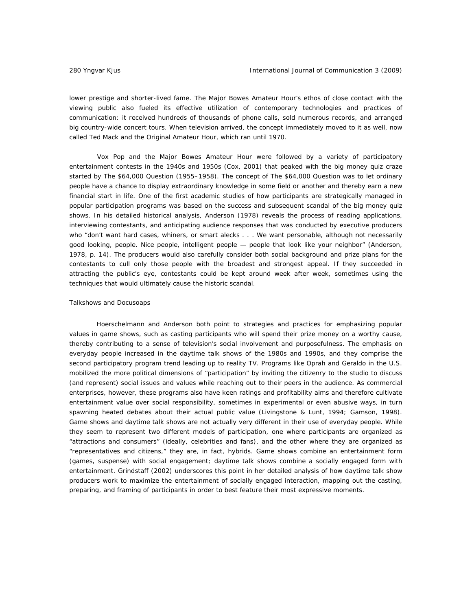lower prestige and shorter-lived fame. The *Major Bowes Amateur Hour*'s ethos of close contact with the viewing public also fueled its effective utilization of contemporary technologies and practices of communication: it received hundreds of thousands of phone calls, sold numerous records, and arranged big country-wide concert tours. When television arrived, the concept immediately moved to it as well, now called *Ted Mack and the Original Amateur Hour,* which ran until 1970.

*Vox Pop* and the *Major Bowes Amateur Hour* were followed by a variety of participatory entertainment contests in the 1940s and 1950s (Cox, 2001) that peaked with the big money quiz craze started by *The \$64,000 Question* (1955–1958). The concept of *The \$64,000 Question* was to let ordinary people have a chance to display extraordinary knowledge in some field or another and thereby earn a new financial start in life. One of the first academic studies of how participants are strategically managed in popular participation programs was based on the success and subsequent scandal of the big money quiz shows. In his detailed historical analysis, Anderson (1978) reveals the process of reading applications, interviewing contestants, and anticipating audience responses that was conducted by executive producers who "don't want hard cases, whiners, or smart alecks . . . We want personable, although not necessarily good looking, people. Nice people, intelligent people — people that look like your neighbor" (Anderson, 1978, p. 14). The producers would also carefully consider both social background and prize plans for the contestants to cull only those people with the broadest and strongest appeal. If they succeeded in attracting the public's eye, contestants could be kept around week after week, sometimes using the techniques that would ultimately cause the historic scandal.

#### *Talkshows and Docusoaps*

Hoerschelmann and Anderson both point to strategies and practices for emphasizing popular values in game shows, such as casting participants who will spend their prize money on a worthy cause, thereby contributing to a sense of television's social involvement and purposefulness. The emphasis on everyday people increased in the daytime talk shows of the 1980s and 1990s, and they comprise the second participatory program trend leading up to reality TV. Programs like *Oprah* and *Geraldo* in the U.S. mobilized the more political dimensions of "participation" by inviting the citizenry to the studio to discuss (and represent) social issues and values while reaching out to their peers in the audience. As commercial enterprises, however, these programs also have keen ratings and profitability aims and therefore cultivate entertainment value over social responsibility, sometimes in experimental or even abusive ways, in turn spawning heated debates about their actual public value (Livingstone & Lunt, 1994; Gamson, 1998). Game shows and daytime talk shows are not actually very different in their use of everyday people. While they seem to represent two different models of participation, one where participants are organized as "attractions and consumers" (ideally, celebrities and fans), and the other where they are organized as "representatives and citizens," they are, in fact, hybrids. Game shows combine an entertainment form (games, suspense) with social engagement; daytime talk shows combine a socially engaged form with entertainment. Grindstaff (2002) underscores this point in her detailed analysis of how daytime talk show producers work to maximize the entertainment of socially engaged interaction, mapping out the casting, preparing, and framing of participants in order to best feature their most expressive moments.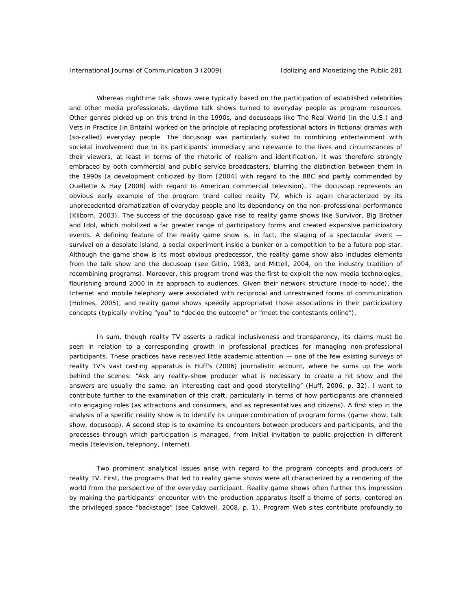Whereas nighttime talk shows were typically based on the participation of established celebrities and other media professionals, daytime talk shows turned to everyday people as program resources. Other genres picked up on this trend in the 1990s, and docusoaps like *The Real World* (in the U.S.) and *Vets in Practice* (in Britain) worked on the principle of replacing professional actors in fictional dramas with (so-called) everyday people. The docusoap was particularly suited to combining entertainment with societal involvement due to its participants' immediacy and relevance to the lives and circumstances of their viewers, at least in terms of the rhetoric of realism and identification. It was therefore strongly embraced by both commercial and public service broadcasters, blurring the distinction between them in the 1990s (a development criticized by Born [2004] with regard to the BBC and partly commended by Ouellette & Hay [2008] with regard to American commercial television). The docusoap represents an obvious early example of the program trend called reality TV, which is again characterized by its unprecedented dramatization of everyday people and its dependency on the non-professional performance (Kilborn, 2003). The success of the docusoap gave rise to reality game shows like *Survivor*, *Big Brother*  and *Idol*, which mobilized a far greater range of participatory forms and created expansive participatory events. A defining feature of the reality game show is, in fact, the staging of a spectacular event – survival on a desolate island, a social experiment inside a bunker or a competition to be a future pop star. Although the game show is its most obvious predecessor, the reality game show also includes elements from the talk show and the docusoap (see Gitlin, 1983, and Mittell, 2004, on the industry tradition of recombining programs). Moreover, this program trend was the first to exploit the new media technologies, flourishing around 2000 in its approach to audiences. Given their network structure (node-to-node), the Internet and mobile telephony were associated with reciprocal and unrestrained forms of communication (Holmes, 2005), and reality game shows speedily appropriated those associations in their participatory concepts (typically inviting "you" to "decide the outcome" or "meet the contestants online").

In sum, though reality TV asserts a radical inclusiveness and transparency, its claims must be seen in relation to a corresponding growth in professional practices for managing non-professional participants. These practices have received little academic attention — one of the few existing surveys of reality TV's vast casting apparatus is Huff's (2006) journalistic account, where he sums up the work behind the scenes: "Ask any reality-show producer what is necessary to create a hit show and the answers are usually the same: an interesting cast and good storytelling" (Huff, 2006, p. 32). I want to contribute further to the examination of this craft, particularly in terms of how participants are channeled into engaging roles (as attractions and consumers, and as representatives and citizens). A first step in the analysis of a specific reality show is to identify its unique combination of program forms (game show, talk show, docusoap). A second step is to examine its encounters between producers and participants, and the processes through which participation is managed, from initial invitation to public projection in different media (television, telephony, Internet).

Two prominent analytical issues arise with regard to the program concepts and producers of reality TV. First, the programs that led to reality game shows were all characterized by a rendering of the world from the perspective of the everyday participant. Reality game shows often further this impression by making the participants' encounter with the production apparatus itself a theme of sorts, centered on the privileged space "backstage" (see Caldwell, 2008, p. 1). Program Web sites contribute profoundly to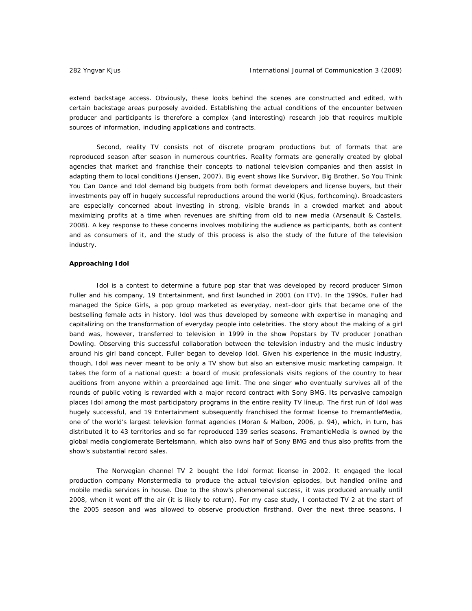extend backstage access. Obviously, these looks behind the scenes are constructed and edited, with certain backstage areas purposely avoided. Establishing the actual conditions of the encounter between producer and participants is therefore a complex (and interesting) research job that requires multiple sources of information, including applications and contracts.

Second, reality TV consists not of discrete program productions but of formats that are reproduced season after season in numerous countries. Reality formats are generally created by global agencies that market and franchise their concepts to national television companies and then assist in adapting them to local conditions (Jensen, 2007). Big event shows like *Survivor*, *Big Brother, So You Think You Can Dance* and *Idol* demand big budgets from both format developers and license buyers, but their investments pay off in hugely successful reproductions around the world (Kjus, forthcoming). Broadcasters are especially concerned about investing in strong, visible brands in a crowded market and about maximizing profits at a time when revenues are shifting from old to new media (Arsenault & Castells, 2008). A key response to these concerns involves mobilizing the audience as participants, both as content and as consumers of it, and the study of this process is also the study of the future of the television industry.

# *Approaching Idol*

*Idol* is a contest to determine a future pop star that was developed by record producer Simon Fuller and his company, 19 Entertainment, and first launched in 2001 (on ITV). In the 1990s, Fuller had managed the Spice Girls, a pop group marketed as everyday, next-door girls that became one of the bestselling female acts in history. *Idol* was thus developed by someone with expertise in managing and capitalizing on the transformation of everyday people into celebrities. The story about the making of a girl band was, however, transferred to television in 1999 in the show *Popstars* by TV producer Jonathan Dowling. Observing this successful collaboration between the television industry and the music industry around his girl band concept, Fuller began to develop *Idol*. Given his experience in the music industry, though, *Idol* was never meant to be only a TV show but also an extensive music marketing campaign. It takes the form of a national quest: a board of music professionals visits regions of the country to hear auditions from anyone within a preordained age limit. The one singer who eventually survives all of the rounds of public voting is rewarded with a major record contract with Sony BMG. Its pervasive campaign places *Idol* among the most participatory programs in the entire reality TV lineup. The first run of *Idol* was hugely successful, and 19 Entertainment subsequently franchised the format license to FremantleMedia, one of the world's largest television format agencies (Moran & Malbon, 2006, p. 94), which, in turn, has distributed it to 43 territories and so far reproduced 139 series seasons. FremantleMedia is owned by the global media conglomerate Bertelsmann, which also owns half of Sony BMG and thus also profits from the show's substantial record sales.

The Norwegian channel TV 2 bought the *Idol* format license in 2002. It engaged the local production company Monstermedia to produce the actual television episodes, but handled online and mobile media services in house. Due to the show's phenomenal success, it was produced annually until 2008, when it went off the air (it is likely to return). For my case study, I contacted TV 2 at the start of the 2005 season and was allowed to observe production firsthand. Over the next three seasons, I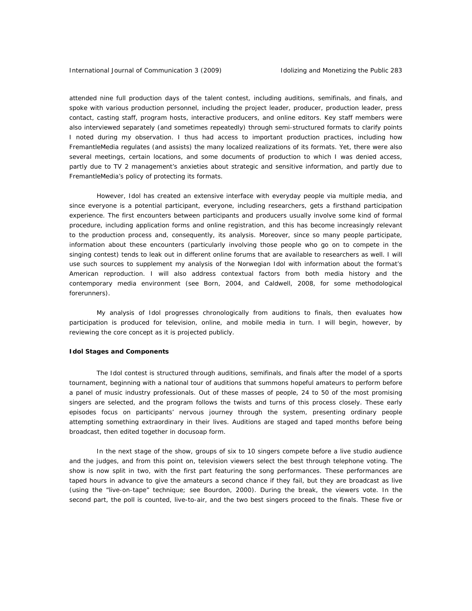attended nine full production days of the talent contest, including auditions, semifinals, and finals, and spoke with various production personnel, including the project leader, producer, production leader, press contact, casting staff, program hosts, interactive producers, and online editors. Key staff members were also interviewed separately (and sometimes repeatedly) through semi-structured formats to clarify points I noted during my observation. I thus had access to important production practices, including how FremantleMedia regulates (and assists) the many localized realizations of its formats. Yet, there were also several meetings, certain locations, and some documents of production to which I was denied access, partly due to TV 2 management's anxieties about strategic and sensitive information, and partly due to FremantleMedia's policy of protecting its formats.

However, *Idol* has created an extensive interface with everyday people via multiple media, and since everyone is a potential participant, everyone, including researchers, gets a firsthand participation experience. The first encounters between participants and producers usually involve some kind of formal procedure, including application forms and online registration, and this has become increasingly relevant to the production process and, consequently, its analysis. Moreover, since so many people participate, information about these encounters (particularly involving those people who go on to compete in the singing contest) tends to leak out in different online forums that are available to researchers as well. I will use such sources to supplement my analysis of the Norwegian *Idol* with information about the format's American reproduction. I will also address contextual factors from both media history and the contemporary media environment (see Born, 2004, and Caldwell, 2008, for some methodological forerunners).

My analysis of *Idol* progresses chronologically from auditions to finals, then evaluates how participation is produced for television, online, and mobile media in turn. I will begin, however, by reviewing the core concept as it is projected publicly.

# *Idol Stages and Components*

The *Idol* contest is structured through auditions, semifinals, and finals after the model of a sports tournament, beginning with a national tour of auditions that summons hopeful amateurs to perform before a panel of music industry professionals. Out of these masses of people, 24 to 50 of the most promising singers are selected, and the program follows the twists and turns of this process closely. These early episodes focus on participants' nervous journey through the system, presenting ordinary people attempting something extraordinary in their lives. Auditions are staged and taped months before being broadcast, then edited together in docusoap form.

In the next stage of the show, groups of six to 10 singers compete before a live studio audience and the judges, and from this point on, television viewers select the best through telephone voting. The show is now split in two, with the first part featuring the song performances. These performances are taped hours in advance to give the amateurs a second chance if they fail, but they are broadcast as live (using the "live-on-tape" technique; see Bourdon, 2000). During the break, the viewers vote. In the second part, the poll is counted, live-to-air, and the two best singers proceed to the finals. These five or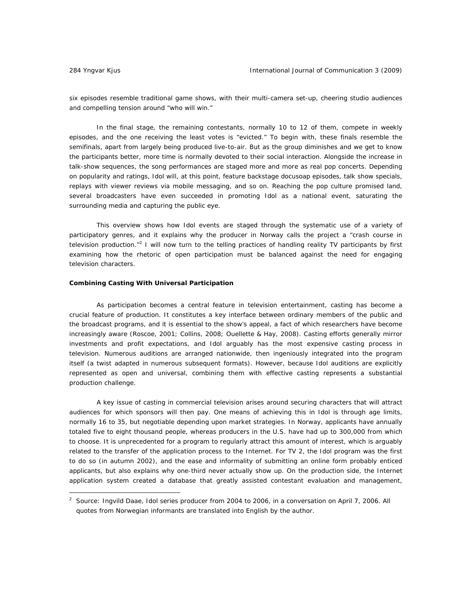$\overline{a}$ 

six episodes resemble traditional game shows, with their multi-camera set-up, cheering studio audiences and compelling tension around "who will win."

In the final stage, the remaining contestants, normally 10 to 12 of them, compete in weekly episodes, and the one receiving the least votes is "evicted." To begin with, these finals resemble the semifinals, apart from largely being produced live-to-air. But as the group diminishes and we get to know the participants better, more time is normally devoted to their social interaction. Alongside the increase in talk-show sequences, the song performances are staged more and more as real pop concerts. Depending on popularity and ratings, *Idol* will, at this point, feature backstage docusoap episodes, talk show specials, replays with viewer reviews via mobile messaging, and so on. Reaching the pop culture promised land, several broadcasters have even succeeded in promoting *Idol* as a national event, saturating the surrounding media and capturing the public eye.

This overview shows how *Idol* events are staged through the systematic use of a variety of participatory genres, and it explains why the producer in Norway calls the project a "crash course in television production."<sup>2</sup> I will now turn to the telling practices of handling reality TV participants by first examining how the rhetoric of open participation must be balanced against the need for engaging television characters.

# *Combining Casting With Universal Participation*

As participation becomes a central feature in television entertainment, casting has become a crucial feature of production. It constitutes a key interface between ordinary members of the public and the broadcast programs, and it is essential to the show's appeal, a fact of which researchers have become increasingly aware (Roscoe, 2001; Collins, 2008; Ouellette & Hay, 2008). Casting efforts generally mirror investments and profit expectations, and *Idol* arguably has the most expensive casting process in television. Numerous auditions are arranged nationwide, then ingeniously integrated into the program itself (a twist adapted in numerous subsequent formats). However, because *Idol* auditions are explicitly represented as open and universal, combining them with effective casting represents a substantial production challenge.

A key issue of casting in commercial television arises around securing characters that will attract audiences for which sponsors will then pay. One means of achieving this in *Idol* is through age limits, normally 16 to 35, but negotiable depending upon market strategies. In Norway, applicants have annually totaled five to eight thousand people, whereas producers in the U.S. have had up to 300,000 from which to choose. It is unprecedented for a program to regularly attract this amount of interest, which is arguably related to the transfer of the application process to the Internet. For TV 2, the *Idol* program was the first to do so (in autumn 2002), and the ease and informality of submitting an online form probably enticed applicants, but also explains why one-third never actually show up. On the production side, the Internet application system created a database that greatly assisted contestant evaluation and management,

<sup>2</sup> Source: Ingvild Daae, *Idol* series producer from 2004 to 2006, in a conversation on April 7, 2006. All quotes from Norwegian informants are translated into English by the author.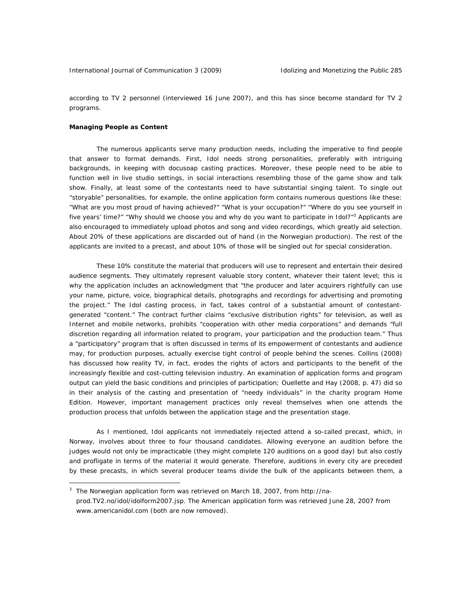according to TV 2 personnel (interviewed 16 June 2007), and this has since become standard for TV 2 programs.

# *Managing People as Content*

 $\overline{a}$ 

The numerous applicants serve many production needs, including the imperative to find people that answer to format demands. First, *Idol* needs strong personalities, preferably with intriguing backgrounds, in keeping with docusoap casting practices. Moreover, these people need to be able to function well in live studio settings, in social interactions resembling those of the game show and talk show. Finally, at least some of the contestants need to have substantial singing talent. To single out "storyable" personalities, for example, the online application form contains numerous questions like these: "What are you most proud of having achieved?" "What is your occupation?" "Where do you see yourself in five years' time?" "Why should we choose you and why do you want to participate in *Idol*?"<sup>3</sup> Applicants are also encouraged to immediately upload photos and song and video recordings, which greatly aid selection. About 20% of these applications are discarded out of hand (in the Norwegian production). The rest of the applicants are invited to a precast, and about 10% of those will be singled out for special consideration.

These 10% constitute the material that producers will use to represent and entertain their desired audience segments. They ultimately represent valuable story content, whatever their talent level; this is why the application includes an acknowledgment that "the producer and later acquirers rightfully can use your name, picture, voice, biographical details, photographs and recordings for advertising and promoting the project." The *Idol* casting process, in fact, takes control of a substantial amount of contestantgenerated "content." The contract further claims "exclusive distribution rights" for television, as well as Internet and mobile networks, prohibits "cooperation with other media corporations" and demands "full discretion regarding all information related to program, your participation and the production team." Thus a "participatory" program that is often discussed in terms of its empowerment of contestants and audience may, for production purposes, actually exercise tight control of people behind the scenes. Collins (2008) has discussed how reality TV, in fact, erodes the rights of actors and participants to the benefit of the increasingly flexible and cost-cutting television industry. An examination of application forms and program output can yield the basic conditions and principles of participation; Ouellette and Hay (2008, p. 47) did so in their analysis of the casting and presentation of "needy individuals" in the charity program *Home Edition*. However, important management practices only reveal themselves when one attends the production process that unfolds between the application stage and the presentation stage.

As I mentioned, *Idol* applicants not immediately rejected attend a so-called precast, which, in Norway, involves about three to four thousand candidates. Allowing everyone an audition before the judges would not only be impracticable (they might complete 120 auditions on a good day) but also costly and profligate in terms of the material it would generate. Therefore, auditions in every city are preceded by these precasts, in which several producer teams divide the bulk of the applicants between them, a

<sup>&</sup>lt;sup>3</sup> The Norwegian application form was retrieved on March 18, 2007, from http://naprod.TV2.no/idol/idolform2007.jsp. The American application form was retrieved June 28, 2007 from www.americanidol.com (both are now removed).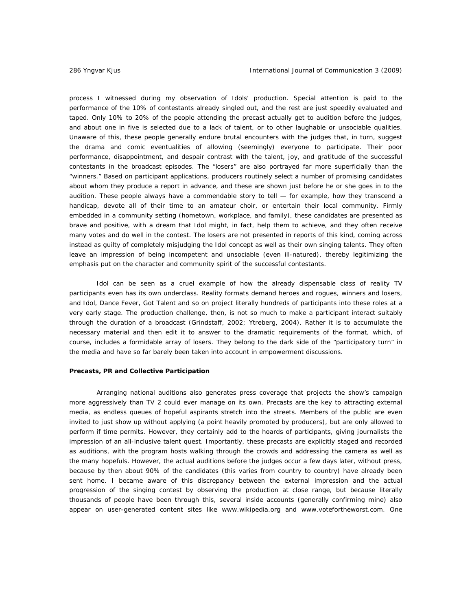process I witnessed during my observation of *Idol*s' production. Special attention is paid to the performance of the 10% of contestants already singled out, and the rest are just speedily evaluated and taped. Only 10% to 20% of the people attending the precast actually get to audition before the judges, and about one in five is selected due to a *lack* of talent, or to other laughable or unsociable qualities. Unaware of this, these people generally endure brutal encounters with the judges that, in turn, suggest the drama and comic eventualities of allowing (seemingly) everyone to participate. Their poor performance, disappointment, and despair contrast with the talent, joy, and gratitude of the successful contestants in the broadcast episodes. The "losers" are also portrayed far more superficially than the "winners." Based on participant applications, producers routinely select a number of promising candidates about whom they produce a report in advance, and these are shown just before he or she goes in to the audition. These people always have a commendable story to tell — for example, how they transcend a handicap, devote all of their time to an amateur choir, or entertain their local community. Firmly embedded in a community setting (hometown, workplace, and family), these candidates are presented as brave and positive, with a dream that *Idol* might, in fact, help them to achieve, and they often receive many votes and do well in the contest. The losers are not presented in reports of this kind, coming across instead as guilty of completely misjudging the *Idol* concept as well as their own singing talents. They often leave an impression of being incompetent and unsociable (even ill-natured), thereby legitimizing the emphasis put on the character and community spirit of the successful contestants.

*Idol* can be seen as a cruel example of how the already dispensable class of reality TV participants even has its own underclass. Reality formats demand heroes and rogues, winners and losers, and *Idol*, *Dance Fever*, *Got Talent* and so on project literally hundreds of participants into these roles at a very early stage. The production challenge, then, is not so much to make a participant interact suitably through the duration of a broadcast (Grindstaff, 2002; Ytreberg, 2004). Rather it is to accumulate the necessary material and then edit it to answer to the dramatic requirements of the format, which, of course, includes a formidable array of losers. They belong to the dark side of the "participatory turn" in the media and have so far barely been taken into account in empowerment discussions.

### *Precasts, PR and Collective Participation*

Arranging national auditions also generates press coverage that projects the show's campaign more aggressively than TV 2 could ever manage on its own. Precasts are the key to attracting external media, as endless queues of hopeful aspirants stretch into the streets. Members of the public are even invited to just show up without applying (a point heavily promoted by producers), but are only allowed to perform if time permits. However, they certainly add to the hoards of participants, giving journalists the impression of an all-inclusive talent quest. Importantly, these precasts are explicitly staged and recorded as auditions, with the program hosts walking through the crowds and addressing the camera as well as the many hopefuls. However, the actual auditions before the judges occur a few days later, without press, because by then about 90% of the candidates (this varies from country to country) have already been sent home. I became aware of this discrepancy between the external impression and the actual progression of the singing contest by observing the production at close range, but because literally thousands of people have been through this, several inside accounts (generally confirming mine) also appear on user-generated content sites like www.wikipedia.org and www.votefortheworst.com. One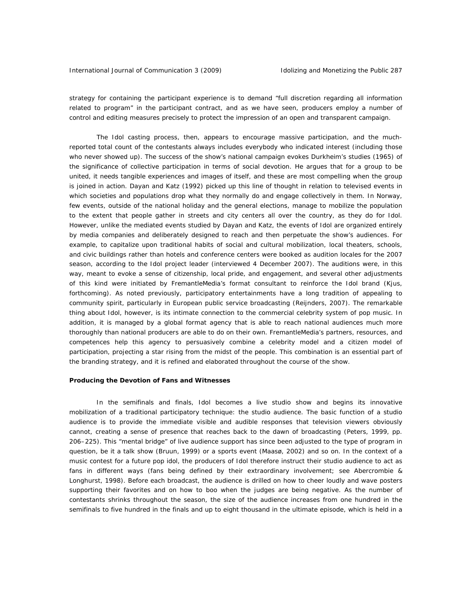strategy for containing the participant experience is to demand "full discretion regarding all information related to program" in the participant contract, and as we have seen, producers employ a number of control and editing measures precisely to protect the impression of an open and transparent campaign.

The *Idol* casting process, then, appears to encourage massive participation, and the muchreported total count of the contestants always includes everybody who indicated interest (including those who never showed up). The success of the show's national campaign evokes Durkheim's studies (1965) of the significance of collective participation in terms of social devotion. He argues that for a group to be united, it needs tangible experiences and images of itself, and these are most compelling when the group is joined in action. Dayan and Katz (1992) picked up this line of thought in relation to televised events in which societies and populations drop what they normally do and engage collectively in them. In Norway, few events, outside of the national holiday and the general elections, manage to mobilize the population to the extent that people gather in streets and city centers all over the country, as they do for *Idol*. However, unlike the mediated events studied by Dayan and Katz, the events of *Idol* are organized entirely by media companies and deliberately designed to reach and then perpetuate the show's audiences. For example, to capitalize upon traditional habits of social and cultural mobilization, local theaters, schools, and civic buildings rather than hotels and conference centers were booked as audition locales for the 2007 season, according to the *Idol* project leader (interviewed 4 December 2007). The auditions were, in this way, meant to evoke a sense of citizenship, local pride, and engagement, and several other adjustments of this kind were initiated by FremantleMedia's format consultant to reinforce the *Idol* brand (Kjus, forthcoming). As noted previously, participatory entertainments have a long tradition of appealing to community spirit, particularly in European public service broadcasting (Reijnders, 2007). The remarkable thing about *Idol*, however, is its intimate connection to the commercial celebrity system of pop music. In addition, it is managed by a global format agency that is able to reach national audiences much more thoroughly than national producers are able to do on their own. FremantleMedia's partners, resources, and competences help this agency to persuasively combine a celebrity model and a citizen model of participation, projecting a star rising from the midst of the people. This combination is an essential part of the branding strategy, and it is refined and elaborated throughout the course of the show.

# *Producing the Devotion of Fans and Witnesses*

In the semifinals and finals, *Idol* becomes a live studio show and begins its innovative mobilization of a traditional participatory technique: the studio audience. The basic function of a studio audience is to provide the immediate visible and audible responses that television viewers obviously cannot, creating a sense of presence that reaches back to the dawn of broadcasting (Peters, 1999, pp. 206–225). This "mental bridge" of live audience support has since been adjusted to the type of program in question, be it a talk show (Bruun, 1999) or a sports event (Maasø, 2002) and so on. In the context of a music contest for a future pop idol, the producers of *Idol* therefore instruct their studio audience to act as *fans* in different ways (fans being defined by their extraordinary involvement; see Abercrombie & Longhurst, 1998). Before each broadcast, the audience is drilled on how to cheer loudly and wave posters supporting their favorites and on how to boo when the judges are being negative. As the number of contestants shrinks throughout the season, the size of the audience increases from one hundred in the semifinals to five hundred in the finals and up to eight thousand in the ultimate episode, which is held in a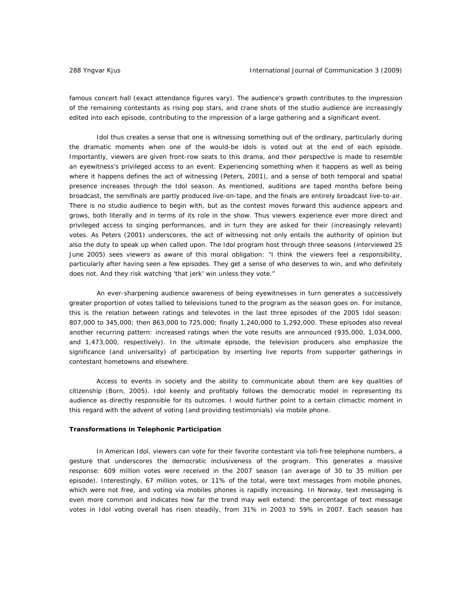famous concert hall (exact attendance figures vary). The audience's growth contributes to the impression of the remaining contestants as rising pop stars, and crane shots of the studio audience are increasingly edited into each episode, contributing to the impression of a large gathering and a significant event.

*Idol* thus creates a sense that one is witnessing something out of the ordinary, particularly during the dramatic moments when one of the would-be idols is voted out at the end of each episode. Importantly, viewers are given front-row seats to this drama, and their perspective is made to resemble an eyewitness's privileged access to an event. Experiencing something *when* it happens as well as being *where* it happens defines the act of witnessing (Peters, 2001), and a sense of both temporal and spatial *presence* increases through the *Idol* season. As mentioned, auditions are taped months before being broadcast, the semifinals are partly produced live-on-tape, and the finals are entirely broadcast live-to-air. There is no studio audience to begin with, but as the contest moves forward this audience appears and grows, both literally and in terms of its role in the show. Thus viewers experience ever more direct and privileged access to singing performances, and in turn they are asked for their (increasingly relevant) votes. As Peters (2001) underscores, the act of witnessing not only entails the authority of opinion but also the duty to speak up when called upon. The *Idol* program host through three seasons (interviewed 25 June 2005) sees viewers as aware of this moral obligation: "I think the viewers feel a responsibility, particularly after having seen a few episodes. They get a sense of who deserves to win, and who definitely does not. And they risk watching 'that jerk' win unless they vote."

An ever-sharpening audience awareness of being eyewitnesses in turn generates a successively greater proportion of votes tallied to televisions tuned to the program as the season goes on. For instance, this is the relation between ratings and televotes in the last three episodes of the 2005 *Idol* season: 807,000 to 345,000; then 863,000 to 725,000; finally 1,240,000 to 1,292,000. These episodes also reveal another recurring pattern: increased ratings when the vote results are announced (935,000, 1,034,000, and 1,473,000, respectively). In the ultimate episode, the television producers also emphasize the significance (and universality) of participation by inserting live reports from supporter gatherings in contestant hometowns and elsewhere.

Access to events in society and the ability to communicate about them are key qualities of citizenship (Born, 2005). *Idol* keenly and profitably follows the democratic model in representing its audience as directly responsible for its outcomes. I would further point to a certain climactic moment in this regard with the advent of voting (and providing testimonials) via mobile phone.

#### *Transformations in Telephonic Participation*

In *American Idol*, viewers can vote for their favorite contestant via toll-free telephone numbers, a gesture that underscores the democratic inclusiveness of the program. This generates a massive response: 609 million votes were received in the 2007 season (an average of 30 to 35 million per episode). Interestingly, 67 million votes, or 11% of the total, were text messages from mobile phones, which were not free, and voting via mobiles phones is rapidly increasing. In Norway, text messaging is even more common and indicates how far the trend may well extend: the percentage of text message votes in *Idol* voting overall has risen steadily, from 31% in 2003 to 59% in 2007. Each season has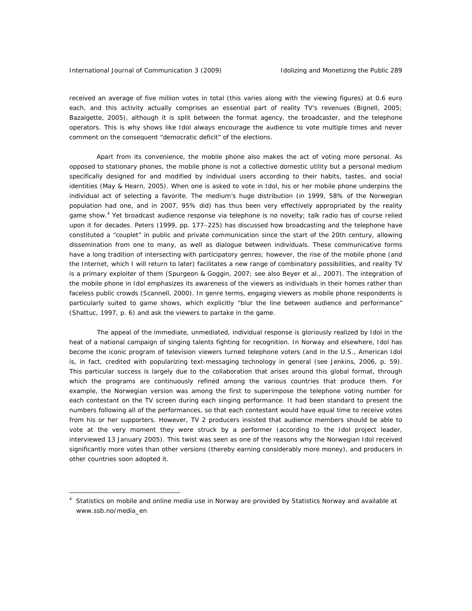$\overline{a}$ 

received an average of five million votes in total (this varies along with the viewing figures) at 0.6 euro each, and this activity actually comprises an essential part of reality TV's revenues (Bignell, 2005; Bazalgette, 2005), although it is split between the format agency, the broadcaster, and the telephone operators. This is why shows like *Idol* always encourage the audience to vote multiple times and never comment on the consequent "democratic deficit" of the elections.

Apart from its convenience, the mobile phone also makes the act of voting more personal. As opposed to stationary phones, the mobile phone is not a collective domestic utility but a personal medium specifically designed for and modified by individual users according to their habits, tastes, and social identities (May & Hearn, 2005). When one is asked to vote in *Idol*, his or her mobile phone underpins the individual act of selecting a favorite. The medium's huge distribution (in 1999, 58% of the Norwegian population had one, and in 2007, 95% did) has thus been very effectively appropriated by the reality game show.<sup>4</sup> Yet broadcast audience response via telephone is no novelty; talk radio has of course relied upon it for decades. Peters (1999, pp. 177–225) has discussed how broadcasting and the telephone have constituted a "couplet" in public and private communication since the start of the 20th century, allowing dissemination from one to many, as well as dialogue between individuals. These communicative forms have a long tradition of intersecting with participatory genres; however, the rise of the mobile phone (and the Internet, which I will return to later) facilitates a new range of combinatory possibilities, and reality TV is a primary exploiter of them (Spurgeon & Goggin, 2007; see also Beyer et al., 2007). The integration of the mobile phone in *Idol* emphasizes its awareness of the viewers as individuals in their homes rather than faceless public crowds (Scannell, 2000). In genre terms, engaging viewers as mobile phone respondents is particularly suited to game shows, which explicitly "blur the line between audience and performance" (Shattuc, 1997, p. 6) and ask the viewers to partake in the game.

 The appeal of the immediate, unmediated, individual response is gloriously realized by *Idol* in the heat of a national campaign of singing talents fighting for recognition. In Norway and elsewhere, *Idol* has become the iconic program of television viewers turned telephone voters (and in the U.S., *American Idol*  is, in fact, credited with popularizing text-messaging technology in general (see Jenkins, 2006, p. 59). This particular success is largely due to the collaboration that arises around this global format, through which the programs are continuously refined among the various countries that produce them. For example, the Norwegian version was among the first to superimpose the telephone voting number for each contestant on the TV screen *during* each singing performance. It had been standard to present the numbers following all of the performances, so that each contestant would have equal time to receive votes from his or her supporters. However, TV 2 producers insisted that audience members should be able to vote at the very moment they were struck by a performer (according to the *Idol* project leader, interviewed 13 January 2005). This twist was seen as one of the reasons why the Norwegian *Idol* received significantly more votes than other versions (thereby earning considerably more money), and producers in other countries soon adopted it.

<sup>&</sup>lt;sup>4</sup> Statistics on mobile and online media use in Norway are provided by Statistics Norway and available at www.ssb.no/media\_en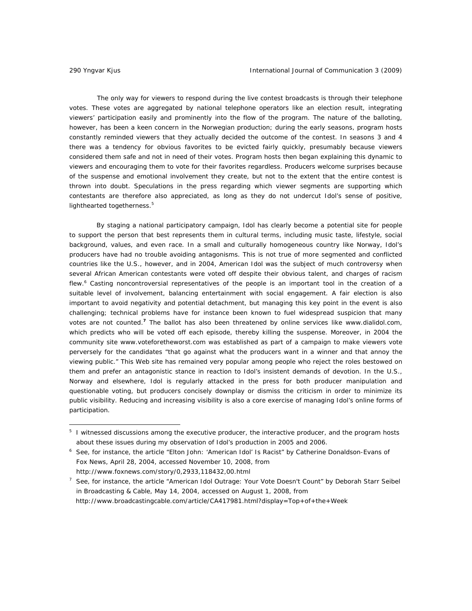$\overline{a}$ 

 The only way for viewers to respond during the live contest broadcasts is through their telephone votes. These votes are aggregated by national telephone operators like an election result, integrating viewers' participation easily and prominently into the flow of the program. The nature of the balloting, however, has been a keen concern in the Norwegian production; during the early seasons, program hosts constantly reminded viewers that they actually decided the outcome of the contest. In seasons 3 and 4 there was a tendency for obvious favorites to be evicted fairly quickly, presumably because viewers considered them safe and not in need of their votes. Program hosts then began explaining this dynamic to viewers and encouraging them to vote for their favorites regardless. Producers welcome surprises because of the suspense and emotional involvement they create, but not to the extent that the entire contest is thrown into doubt. Speculations in the press regarding which viewer segments are supporting which contestants are therefore also appreciated, as long as they do not undercut *Idol's* sense of positive, lighthearted togetherness.<sup>5</sup>

By staging a national participatory campaign, *Idol* has clearly become a potential site for people to support the person that best represents them in cultural terms, including music taste, lifestyle, social background, values, and even race. In a small and culturally homogeneous country like Norway, *Idol's* producers have had no trouble avoiding antagonisms. This is not true of more segmented and conflicted countries like the U.S., however, and in 2004, *American Idol* was the subject of much controversy when several African American contestants were voted off despite their obvious talent, and charges of racism flew.<sup>6</sup> Casting noncontroversial representatives of the people is an important tool in the creation of a suitable level of involvement, balancing entertainment with social engagement. A fair election is also important to avoid negativity and potential detachment, but managing this key point in the event is also challenging; technical problems have for instance been known to fuel widespread suspicion that many votes are not counted.**<sup>7</sup>** The ballot has also been threatened by online services like www.dialidol.com, which predicts who will be voted off each episode, thereby killing the suspense. Moreover, in 2004 the community site www.voteforetheworst.com was established as part of a campaign to make viewers vote perversely for the candidates "that go against what the producers want in a winner and that annoy the viewing public." This Web site has remained very popular among people who reject the roles bestowed on them and prefer an antagonistic stance in reaction to *Idol's* insistent demands of devotion. In the U.S., Norway and elsewhere, *Idol* is regularly attacked in the press for both producer manipulation and questionable voting, but producers concisely downplay or dismiss the criticism in order to minimize its public visibility. Reducing and increasing visibility is also a core exercise of managing *Idol's* online forms of participation.

http://www.foxnews.com/story/0,2933,118432,00.html

<sup>&</sup>lt;sup>5</sup> I witnessed discussions among the executive producer, the interactive producer, and the program hosts about these issues during my observation of *Idol's* production in 2005 and 2006.

<sup>&</sup>lt;sup>6</sup> See, for instance, the article "Elton John: 'American Idol' Is Racist" by Catherine Donaldson-Evans of Fox News, April 28, 2004, accessed November 10, 2008, from

<sup>&</sup>lt;sup>7</sup> See, for instance, the article "American Idol Outrage: Your Vote Doesn't Count" by Deborah Starr Seibel in Broadcasting & Cable, May 14, 2004, accessed on August 1, 2008, from http://www.broadcastingcable.com/article/CA417981.html?display=Top+of+the+Week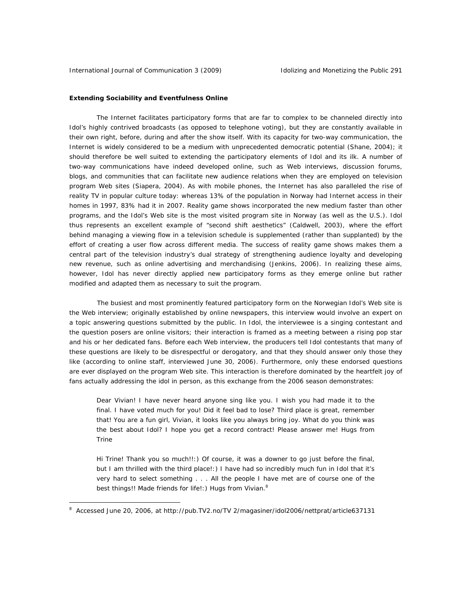# *Extending Sociability and Eventfulness Online*

The Internet facilitates participatory forms that are far to complex to be channeled directly into *Idol's* highly contrived broadcasts (as opposed to telephone voting), but they are constantly available in their own right, before, during and after the show itself. With its capacity for two-way communication, the Internet is widely considered to be a medium with unprecedented democratic potential (Shane, 2004); it should therefore be well suited to extending the participatory elements of *Idol* and its ilk. A number of two-way communications have indeed developed online, such as Web interviews, discussion forums, blogs, and communities that can facilitate new audience relations when they are employed on television program Web sites (Siapera, 2004). As with mobile phones, the Internet has also paralleled the rise of reality TV in popular culture today: whereas 13% of the population in Norway had Internet access in their homes in 1997, 83% had it in 2007. Reality game shows incorporated the new medium faster than other programs, and the *Idol's* Web site is the most visited program site in Norway (as well as the U.S.). *Idol* thus represents an excellent example of "second shift aesthetics" (Caldwell, 2003), where the effort behind managing a viewing flow in a television schedule is supplemented (rather than supplanted) by the effort of creating a user flow across different media. The success of reality game shows makes them a central part of the television industry's dual strategy of strengthening audience loyalty and developing new revenue, such as online advertising and merchandising (Jenkins, 2006). In realizing these aims, however, *Idol* has never directly applied new participatory forms as they emerge online but rather modified and adapted them as necessary to suit the program.

 The busiest and most prominently featured participatory form on the Norwegian *Idol's* Web site is the Web interview; originally established by online newspapers, this interview would involve an expert on a topic answering questions submitted by the public. In *Idol*, the interviewee is a singing contestant and the question posers are online visitors; their interaction is framed as a meeting between a rising pop star and his or her dedicated fans. Before each Web interview, the producers tell *Idol* contestants that many of these questions are likely to be disrespectful or derogatory, and that they should answer only those they like (according to online staff, interviewed June 30, 2006). Furthermore, only these endorsed questions are ever displayed on the program Web site. This interaction is therefore dominated by the heartfelt joy of fans actually addressing the idol in person, as this exchange from the 2006 season demonstrates:

Dear Vivian! I have never heard anyone sing like you. I wish you had made it to the final. I have voted much for you! Did it feel bad to lose? Third place is great, remember that! You are a fun girl, Vivian, it looks like you always bring joy. What do you think was the best about Idol? I hope you get a record contract! Please answer me! Hugs from Trine

Hi Trine! Thank you so much!!:) Of course, it was a downer to go just before the final, but I am thrilled with the third place!:) I have had so incredibly much fun in Idol that it's very hard to select something . . . All the people I have met are of course one of the best things!! Made friends for life!:) Hugs from Vivian.<sup>8</sup>

 $\overline{a}$ 

<sup>&</sup>lt;sup>8</sup> Accessed June 20, 2006, at http://pub.TV2.no/TV 2/magasiner/idol2006/nettprat/article637131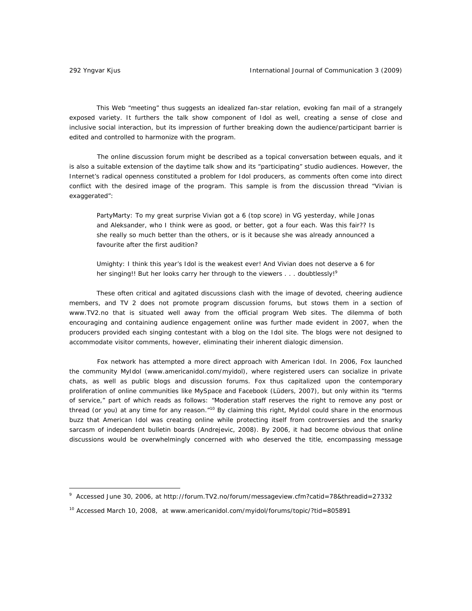$\overline{a}$ 

This Web "meeting" thus suggests an idealized fan-star relation, evoking fan mail of a strangely exposed variety. It furthers the talk show component of *Idol* as well, creating a sense of close and inclusive social interaction, but its impression of further breaking down the audience/participant barrier is edited and controlled to harmonize with the program.

 The online discussion forum might be described as a topical conversation between equals, and it is also a suitable extension of the daytime talk show and its "participating" studio audiences. However, the Internet's radical openness constituted a problem for *Idol* producers, as comments often come into direct conflict with the desired image of the program. This sample is from the discussion thread "Vivian is exaggerated":

PartyMarty: To my great surprise Vivian got a 6 (top score) in VG yesterday, while Jonas and Aleksander, who I think were as good, or better, got a four each. Was this fair?? Is she really so much better than the others, or is it because she was already announced a favourite after the first audition?

Umighty: I think this year's Idol is the weakest ever! And Vivian does not deserve a 6 for her singing!! But her looks carry her through to the viewers . . . doubtlessly!<sup>9</sup>

These often critical and agitated discussions clash with the image of devoted, cheering audience members, and TV 2 does not promote program discussion forums, but stows them in a section of www.TV2.no that is situated well away from the official program Web sites. The dilemma of both encouraging and containing audience engagement online was further made evident in 2007, when the producers provided each singing contestant with a blog on the *Idol* site. The blogs were not designed to accommodate visitor comments, however, eliminating their inherent dialogic dimension.

 Fox network has attempted a more direct approach with *American Idol*. In 2006, Fox launched the community MyIdol (www.americanidol.com/myidol), where registered users can socialize in private chats, as well as public blogs and discussion forums. Fox thus capitalized upon the contemporary proliferation of online communities like MySpace and Facebook (Lüders, 2007), but only within its "terms of service," part of which reads as follows: "Moderation staff reserves the right to remove any post or thread (or you) at any time for any reason."<sup>10</sup> By claiming this right, MyIdol could share in the enormous buzz that *American Idol* was creating online while protecting itself from controversies and the snarky sarcasm of independent bulletin boards (Andrejevic, 2008). By 2006, it had become obvious that online discussions would be overwhelmingly concerned with who *deserved* the title, encompassing message

<sup>9</sup> Accessed June 30, 2006, at http://forum.TV2.no/forum/messageview.cfm?catid=78&threadid=27332

<sup>&</sup>lt;sup>10</sup> Accessed March 10, 2008, at www.americanidol.com/myidol/forums/topic/?tid=805891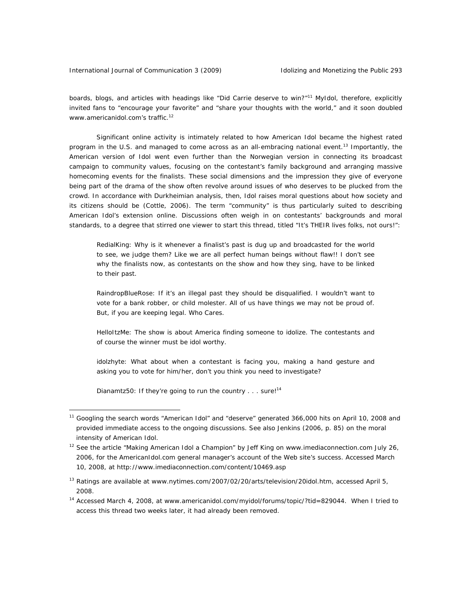boards, blogs, and articles with headings like "Did Carrie deserve to win?"<sup>11</sup> MyIdol, therefore, explicitly invited fans to "encourage your favorite" and "share your thoughts with the world," and it soon doubled www.americanidol.com's traffic.<sup>12</sup>

Significant online activity is intimately related to how *American Idol* became the highest rated program in the U.S. and managed to come across as an all-embracing national event.<sup>13</sup> Importantly, the American version of *Idol* went even further than the Norwegian version in connecting its broadcast campaign to community values, focusing on the contestant's family background and arranging massive homecoming events for the finalists. These social dimensions and the impression they give of everyone being part of the drama of the show often revolve around issues of who deserves to be plucked from the crowd. In accordance with Durkheimian analysis, then, *Idol* raises moral questions about how society and its citizens *should be* (Cottle, 2006). The term "community" is thus particularly suited to describing *American Idol*'s extension online. Discussions often weigh in on contestants' backgrounds and moral standards, to a degree that stirred one viewer to start this thread, titled "It's THEIR lives folks, not ours!":

RedialKing: Why is it whenever a finalist's past is dug up and broadcasted for the world to see, we judge them? Like we are all perfect human beings without flaw!! I don't see why the finalists now, as contestants on the show and how they sing, have to be linked to their past.

RaindropBlueRose: If it's an illegal past they should be disqualified. I wouldn't want to vote for a bank robber, or child molester. All of us have things we may not be proud of. But, if you are keeping legal. Who Cares.

HelloItzMe: The show is about America finding someone to idolize. The contestants and of course the winner must be idol worthy.

idolzhyte: What about when a contestant is facing you, making a hand gesture and asking you to vote for him/her, don't you think you need to investigate?

Dianamtz50: If they're going to run the country . . . sure!<sup>14</sup>

 $\overline{a}$ 

<sup>&</sup>lt;sup>11</sup> Googling the search words "American Idol" and "deserve" generated 366,000 hits on April 10, 2008 and provided immediate access to the ongoing discussions. See also Jenkins (2006, p. 85) on the moral intensity of *American Idol*.

 $12$  See the article "Making American Idol a Champion" by Jeff King on www.imediaconnection.com July 26, 2006, for the *AmericanIdol.com* general manager's account of the Web site's success. Accessed March 10, 2008, at http://www.imediaconnection.com/content/10469.asp

<sup>&</sup>lt;sup>13</sup> Ratings are available at www.nytimes.com/2007/02/20/arts/television/20idol.htm, accessed April 5, 2008.

<sup>14</sup> Accessed March 4, 2008, at www.americanidol.com/myidol/forums/topic/?tid=829044. When I tried to access this thread two weeks later, it had already been removed.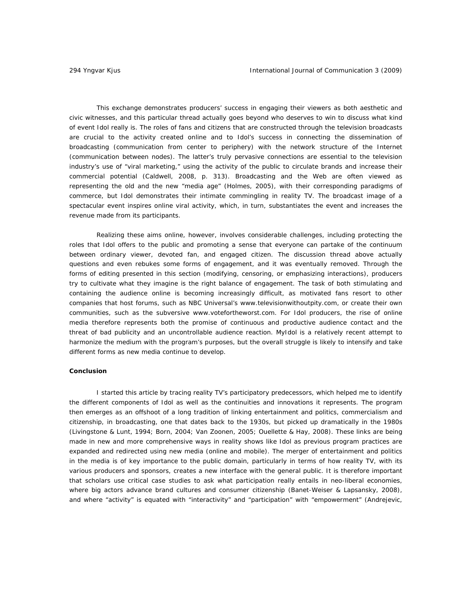This exchange demonstrates producers' success in engaging their viewers as both aesthetic and civic witnesses, and this particular thread actually goes beyond who deserves to win to discuss what kind of event *Idol* really is. The roles of fans and citizens that are constructed through the television broadcasts are crucial to the activity created online and to *Idol's* success in connecting the dissemination of broadcasting (communication from center to periphery) with the network structure of the Internet (communication between nodes). The latter's truly pervasive connections are essential to the television industry's use of "viral marketing," using the activity of the public to circulate brands and increase their commercial potential (Caldwell, 2008, p. 313). Broadcasting and the Web are often viewed as representing the old and the new "media age" (Holmes, 2005), with their corresponding paradigms of commerce, but *Idol* demonstrates their intimate commingling in reality TV. The broadcast image of a spectacular event inspires online viral activity, which, in turn, substantiates the event and increases the revenue made from its participants.

Realizing these aims online, however, involves considerable challenges, including protecting the roles that *Idol* offers to the public and promoting a sense that everyone can partake of the continuum between ordinary viewer, devoted fan, and engaged citizen. The discussion thread above actually questions and even rebukes some forms of engagement, and it was eventually removed. Through the forms of editing presented in this section (modifying, censoring, or emphasizing interactions), producers try to cultivate what they imagine is the right balance of engagement. The task of both stimulating and containing the audience online is becoming increasingly difficult, as motivated fans resort to other companies that host forums, such as NBC Universal's www.televisionwithoutpity.com, or create their own communities, such as the subversive www.votefortheworst.com. For *Idol* producers, the rise of online media therefore represents both the promise of continuous and productive audience contact and the threat of bad publicity and an uncontrollable audience reaction. MyIdol is a relatively recent attempt to harmonize the medium with the program's purposes, but the overall struggle is likely to intensify and take different forms as new media continue to develop.

### *Conclusion*

I started this article by tracing reality TV's participatory predecessors, which helped me to identify the different components of *Idol* as well as the continuities and innovations it represents. The program then emerges as an offshoot of a long tradition of linking entertainment and politics, commercialism and citizenship, in broadcasting, one that dates back to the 1930s, but picked up dramatically in the 1980s (Livingstone & Lunt, 1994; Born, 2004; Van Zoonen, 2005; Ouellette & Hay, 2008). These links are being made in new and more comprehensive ways in reality shows like *Idol* as previous program practices are expanded and redirected using new media (online and mobile). The merger of entertainment and politics in the media is of key importance to the public domain, particularly in terms of how reality TV, with its various producers and sponsors, creates a new interface with the general public. It is therefore important that scholars use critical case studies to ask what participation really entails in neo-liberal economies, where big actors advance brand cultures and consumer citizenship (Banet-Weiser & Lapsansky, 2008), and where "activity" is equated with "interactivity" and "participation" with "empowerment" (Andrejevic,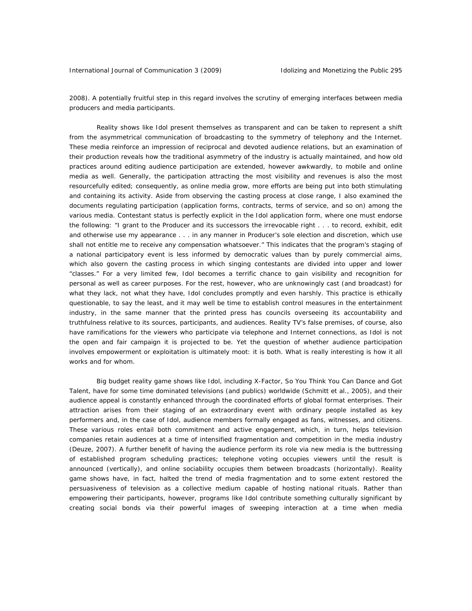2008). A potentially fruitful step in this regard involves the scrutiny of emerging interfaces between media producers and media participants.

Reality shows like *Idol* present themselves as transparent and can be taken to represent a shift from the asymmetrical communication of broadcasting to the symmetry of telephony and the Internet. These media reinforce an impression of reciprocal and devoted audience relations, but an examination of their production reveals how the traditional asymmetry of the industry is actually maintained, and how old practices around editing audience participation are extended, however awkwardly, to mobile and online media as well. Generally, the participation attracting the most visibility and revenues is also the most resourcefully edited; consequently, as online media grow, more efforts are being put into both stimulating and containing its activity. Aside from observing the casting process at close range, I also examined the documents regulating participation (application forms, contracts, terms of service, and so on) among the various media. Contestant status is perfectly explicit in the *Idol* application form, where one must endorse the following: "I grant to the Producer and its successors the irrevocable right . . . to record, exhibit, edit and otherwise use my appearance . . . in any manner in Producer's sole election and discretion, which use shall not entitle me to receive any compensation whatsoever." This indicates that the program's staging of a national participatory event is less informed by democratic values than by purely commercial aims, which also govern the casting process in which singing contestants are divided into upper and lower "classes." For a very limited few, *Idol* becomes a terrific chance to gain visibility and recognition for personal as well as career purposes. For the rest, however, who are unknowingly cast (and broadcast) for what they lack, not what they have, *Idol* concludes promptly and even harshly. This practice is ethically questionable, to say the least, and it may well be time to establish control measures in the entertainment industry, in the same manner that the printed press has councils overseeing its accountability and truthfulness relative to its sources, participants, and audiences. Reality TV's false premises, of course, also have ramifications for the viewers who participate via telephone and Internet connections, as *Idol* is not the open and fair campaign it is projected to be. Yet the question of whether audience participation involves empowerment or exploitation is ultimately moot: it is both. What is really interesting is how it all works and for whom.

Big budget reality game shows like *Idol*, including *X-Factor*, *So You Think You Can Dance* and *Got Talent*, have for some time dominated televisions (and publics) worldwide (Schmitt et al., 2005), and their audience appeal is constantly enhanced through the coordinated efforts of global format enterprises. Their attraction arises from their staging of an extraordinary event with ordinary people installed as key performers and, in the case of *Idol,* audience members formally engaged as fans, witnesses, and citizens. These various roles entail both commitment and active engagement, which, in turn, helps television companies retain audiences at a time of intensified fragmentation and competition in the media industry (Deuze, 2007). A further benefit of having the audience perform its role via new media is the buttressing of established program scheduling practices; telephone voting occupies viewers until the result is announced (vertically), and online sociability occupies them between broadcasts (horizontally). Reality game shows have, in fact, halted the trend of media fragmentation and to some extent restored the persuasiveness of television as a collective medium capable of hosting national rituals. Rather than empowering their participants, however, programs like *Idol* contribute something culturally significant by creating social bonds via their powerful images of sweeping interaction at a time when media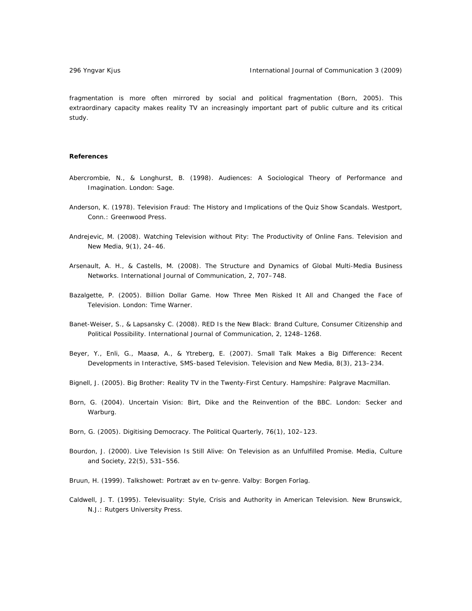fragmentation is more often mirrored by social and political fragmentation (Born, 2005). This extraordinary capacity makes reality TV an increasingly important part of public culture and its critical study.

# **References**

- Abercrombie, N., & Longhurst, B. (1998). *Audiences: A Sociological Theory of Performance and Imagination*. London: Sage.
- Anderson, K. (1978). *Television Fraud: The History and Implications of the Quiz Show Scandals*. Westport, Conn.: Greenwood Press.
- Andrejevic, M. (2008). Watching Television without Pity: The Productivity of Online Fans. *Television and New Media*, 9(1), 24–46.
- Arsenault, A. H., & Castells, M. (2008). The Structure and Dynamics of Global Multi-Media Business Networks. *International Journal of Communication,* 2, 707–748.
- Bazalgette, P. (2005). *Billion Dollar Game. How Three Men Risked It All and Changed the Face of Television*. London: Time Warner.
- Banet-Weiser, S., & Lapsansky C. (2008). RED Is the New Black: Brand Culture, Consumer Citizenship and Political Possibility. *International Journal of Communication,* 2, 1248–1268.
- Beyer, Y., Enli, G., Maasø, A., & Ytreberg, E. (2007). Small Talk Makes a Big Difference: Recent Developments in Interactive, SMS-based Television. *Television and New Media*, 8(3), 213–234.
- Bignell, J. (2005). *Big Brother: Reality TV in the Twenty-First Century*. Hampshire: Palgrave Macmillan.
- Born, G. (2004). *Uncertain Vision: Birt, Dike and the Reinvention of the BBC*. London: Secker and Warburg.
- Born, G. (2005). Digitising Democracy. *The Political Quarterly*, 76(1), 102–123.
- Bourdon, J. (2000). Live Television Is Still Alive: On Television as an Unfulfilled Promise. *Media, Culture and Society,* 22(5), 531–556.
- Bruun, H. (1999). *Talkshowet: Portræt av en tv-genre*. Valby: Borgen Forlag.
- Caldwell, J. T. (1995). *Televisuality: Style, Crisis and Authority in American Television*. New Brunswick, N.J.: Rutgers University Press.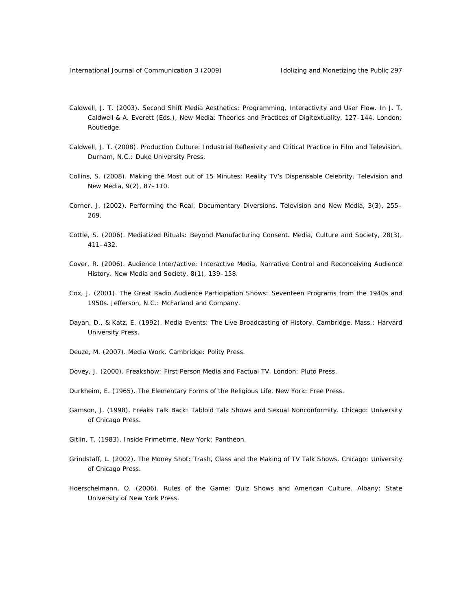- Caldwell, J. T. (2003). Second Shift Media Aesthetics: Programming, Interactivity and User Flow. In J. T. Caldwell & A. Everett (Eds.), *New Media: Theories and Practices of Digitextuality*, 127–144. London: Routledge.
- Caldwell, J. T. (2008). *Production Culture: Industrial Reflexivity and Critical Practice in Film and Television*. Durham, N.C.: Duke University Press.
- Collins, S. (2008). Making the Most out of 15 Minutes: Reality TV's Dispensable Celebrity. *Television and New Media*, 9(2), 87–110.
- Corner, J. (2002). Performing the Real: Documentary Diversions. *Television and New Media*, 3(3), 255– 269.
- Cottle, S. (2006). Mediatized Rituals: Beyond Manufacturing Consent. *Media, Culture and Society*, 28(3), 411–432.
- Cover, R. (2006). Audience Inter/active: Interactive Media, Narrative Control and Reconceiving Audience History. *New Media and Society,* 8(1), 139–158.
- Cox, J. (2001). *The Great Radio Audience Participation Shows: Seventeen Programs from the 1940s and 1950s*. Jefferson, N.C.: McFarland and Company.
- Dayan, D., & Katz, E. (1992). *Media Events: The Live Broadcasting of History*. Cambridge, Mass.: Harvard University Press.
- Deuze, M. (2007). *Media Work*. Cambridge: Polity Press.
- Dovey, J. (2000). *Freakshow: First Person Media and Factual TV*. London: Pluto Press.
- Durkheim, E. (1965). *The Elementary Forms of the Religious Life*. New York: Free Press.
- Gamson, J. (1998). *Freaks Talk Back: Tabloid Talk Shows and Sexual Nonconformity*. Chicago: University of Chicago Press.
- Gitlin, T. (1983). *Inside Primetime*. New York: Pantheon.
- Grindstaff, L. (2002). *The Money Shot: Trash, Class and the Making of TV Talk Shows*. Chicago: University of Chicago Press.
- Hoerschelmann, O. (2006). *Rules of the Game: Quiz Shows and American Culture*. Albany: State University of New York Press.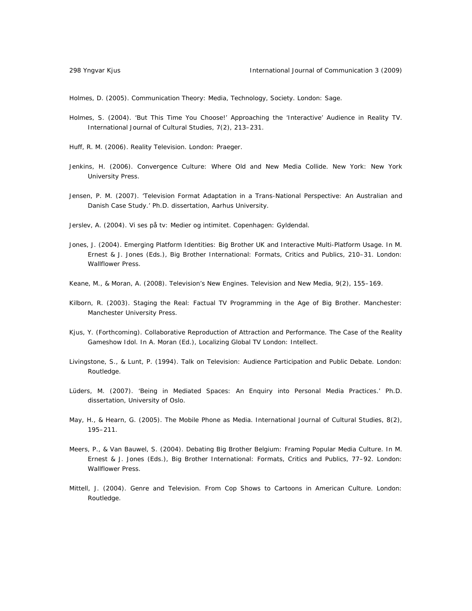Holmes, D. (2005). *Communication Theory: Media, Technology, Society*. London: Sage.

- Holmes, S. (2004). 'But This Time You Choose!' Approaching the 'Interactive' Audience in Reality TV. *International Journal of Cultural Studies*, 7(2), 213–231.
- Huff, R. M. (2006). *Reality Television*. London: Praeger.
- Jenkins, H. (2006). *Convergence Culture: Where Old and New Media Collide*. New York: New York University Press.
- Jensen, P. M. (2007). 'Television Format Adaptation in a Trans-National Perspective: An Australian and Danish Case Study.' Ph.D. dissertation, Aarhus University.

Jerslev, A. (2004). *Vi ses på tv: Medier og intimitet*. Copenhagen: Gyldendal.

- Jones, J. (2004). Emerging Platform Identities: Big Brother UK and Interactive Multi-Platform Usage. In M. Ernest & J. Jones (Eds.), *Big Brother International: Formats, Critics and Publics*, 210–31. London: Wallflower Press.
- Keane, M., & Moran, A. (2008). Television's New Engines. *Television and New Media*, 9(2), 155–169.
- Kilborn, R. (2003). *Staging the Real: Factual TV Programming in the Age of Big Brother*. Manchester: Manchester University Press.
- Kjus, Y. (Forthcoming). Collaborative Reproduction of Attraction and Performance. The Case of the Reality Gameshow Idol. In A. Moran (Ed.), *Localizing Global TV* London: Intellect.
- Livingstone, S., & Lunt, P. (1994). *Talk on Television: Audience Participation and Public Debate*. London: Routledge.
- Lüders, M. (2007). 'Being in Mediated Spaces: An Enquiry into Personal Media Practices.' Ph.D. dissertation, University of Oslo.
- May, H., & Hearn, G. (2005). The Mobile Phone as Media. *International Journal of Cultural Studies*, 8(2), 195–211.
- Meers, P., & Van Bauwel, S. (2004). Debating Big Brother Belgium: Framing Popular Media Culture. In M. Ernest & J. Jones (Eds.), *Big Brother International: Formats, Critics and Publics*, 77–92. London: Wallflower Press.
- Mittell, J. (2004). *Genre and Television. From Cop Shows to Cartoons in American Culture*. London: Routledge.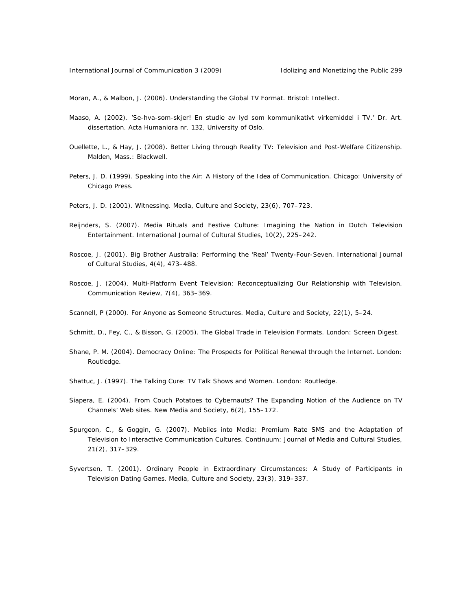Moran, A., & Malbon, J. (2006). *Understanding the Global TV Format*. Bristol: Intellect.

- Maaso, A. (2002). 'Se-hva-som-skjer! En studie av lyd som kommunikativt virkemiddel i TV.' Dr. Art. dissertation. Acta Humaniora nr. 132, University of Oslo.
- Ouellette, L., & Hay, J. (2008). *Better Living through Reality TV: Television and Post-Welfare Citizenship*. Malden, Mass.: Blackwell.
- Peters, J. D. (1999). *Speaking into the Air: A History of the Idea of Communication*. Chicago: University of Chicago Press.
- Peters, J. D. (2001). Witnessing. *Media, Culture and Society*, 23(6), 707–723.
- Reijnders, S. (2007). Media Rituals and Festive Culture: Imagining the Nation in Dutch Television Entertainment. *International Journal of Cultural Studies,* 10(2), 225–242.
- Roscoe, J. (2001). Big Brother Australia: Performing the 'Real' Twenty-Four-Seven. *International Journal of Cultural Studies*, 4(4), 473–488.
- Roscoe, J. (2004). Multi-Platform Event Television: Reconceptualizing Our Relationship with Television. *Communication Review*, 7(4), 363–369.
- Scannell, P (2000). For Anyone as Someone Structures. *Media, Culture and Society*, 22(1), 5–24.
- Schmitt, D., Fey, C., & Bisson, G. (2005). *The Global Trade in Television Formats*. London: Screen Digest.
- Shane, P. M. (2004). *Democracy Online: The Prospects for Political Renewal through the Internet*. London: Routledge.
- Shattuc, J. (1997). *The Talking Cure: TV Talk Shows and Women*. London: Routledge.
- Siapera, E. (2004). From Couch Potatoes to Cybernauts? The Expanding Notion of the Audience on TV Channels' Web sites. *New Media and Society*, 6(2), 155–172.
- Spurgeon, C., & Goggin, G. (2007). Mobiles into Media: Premium Rate SMS and the Adaptation of Television to Interactive Communication Cultures. *Continuum: Journal of Media and Cultural Studies*, 21(2), 317–329.
- Syvertsen, T. (2001). Ordinary People in Extraordinary Circumstances: A Study of Participants in Television Dating Games. *Media, Culture and Society*, 23(3), 319–337.